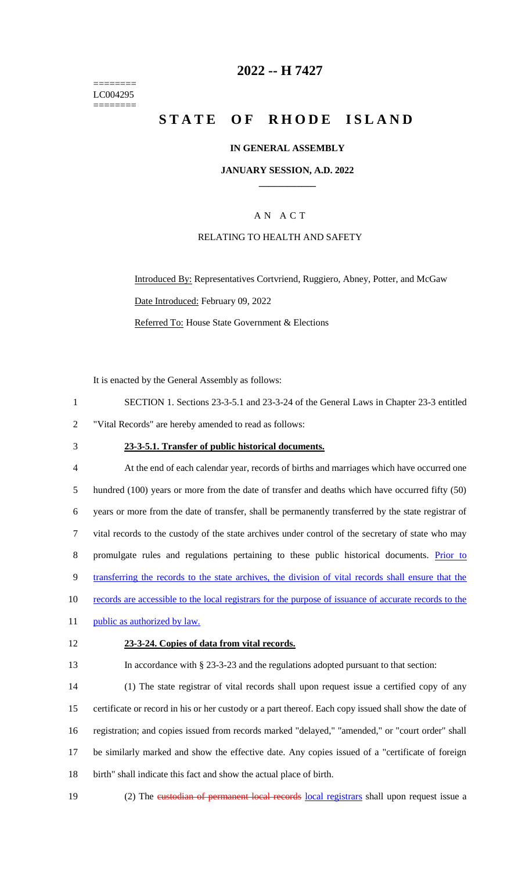======== LC004295 ========

## **2022 -- H 7427**

# **STATE OF RHODE ISLAND**

### **IN GENERAL ASSEMBLY**

#### **JANUARY SESSION, A.D. 2022 \_\_\_\_\_\_\_\_\_\_\_\_**

### A N A C T

#### RELATING TO HEALTH AND SAFETY

Introduced By: Representatives Cortvriend, Ruggiero, Abney, Potter, and McGaw Date Introduced: February 09, 2022 Referred To: House State Government & Elections

It is enacted by the General Assembly as follows:

- 1 SECTION 1. Sections 23-3-5.1 and 23-3-24 of the General Laws in Chapter 23-3 entitled 2 "Vital Records" are hereby amended to read as follows:
- 

#### 3 **23-3-5.1. Transfer of public historical documents.**

 At the end of each calendar year, records of births and marriages which have occurred one hundred (100) years or more from the date of transfer and deaths which have occurred fifty (50) years or more from the date of transfer, shall be permanently transferred by the state registrar of vital records to the custody of the state archives under control of the secretary of state who may promulgate rules and regulations pertaining to these public historical documents. Prior to transferring the records to the state archives, the division of vital records shall ensure that the 10 records are accessible to the local registrars for the purpose of issuance of accurate records to the 11 public as authorized by law.

#### 12 **23-3-24. Copies of data from vital records.**

13 In accordance with § 23-3-23 and the regulations adopted pursuant to that section:

 (1) The state registrar of vital records shall upon request issue a certified copy of any certificate or record in his or her custody or a part thereof. Each copy issued shall show the date of registration; and copies issued from records marked "delayed," "amended," or "court order" shall be similarly marked and show the effective date. Any copies issued of a "certificate of foreign birth" shall indicate this fact and show the actual place of birth.

- 
- 19 (2) The custodian of permanent local records local registrars shall upon request issue a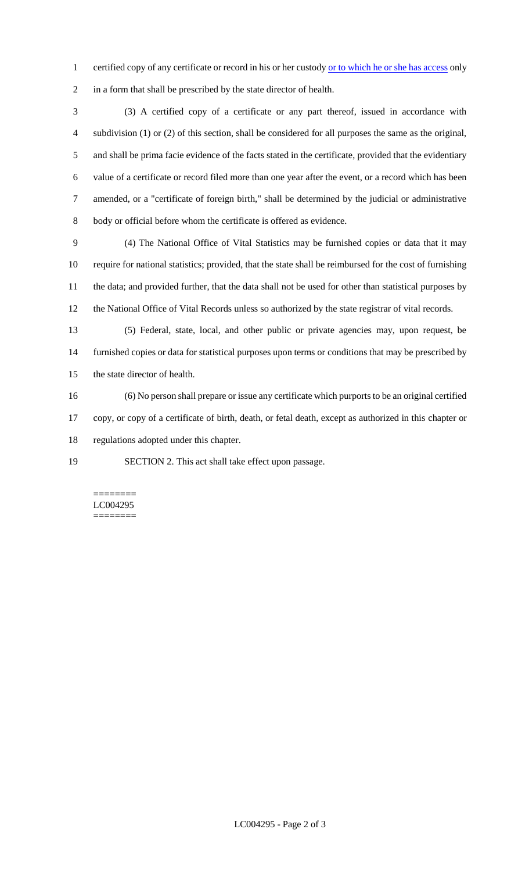1 certified copy of any certificate or record in his or her custody or to which he or she has access only in a form that shall be prescribed by the state director of health.

 (3) A certified copy of a certificate or any part thereof, issued in accordance with subdivision (1) or (2) of this section, shall be considered for all purposes the same as the original, and shall be prima facie evidence of the facts stated in the certificate, provided that the evidentiary value of a certificate or record filed more than one year after the event, or a record which has been amended, or a "certificate of foreign birth," shall be determined by the judicial or administrative body or official before whom the certificate is offered as evidence.

 (4) The National Office of Vital Statistics may be furnished copies or data that it may require for national statistics; provided, that the state shall be reimbursed for the cost of furnishing the data; and provided further, that the data shall not be used for other than statistical purposes by the National Office of Vital Records unless so authorized by the state registrar of vital records.

 (5) Federal, state, local, and other public or private agencies may, upon request, be furnished copies or data for statistical purposes upon terms or conditions that may be prescribed by the state director of health.

 (6) No person shall prepare or issue any certificate which purports to be an original certified copy, or copy of a certificate of birth, death, or fetal death, except as authorized in this chapter or regulations adopted under this chapter.

SECTION 2. This act shall take effect upon passage.

======== LC004295 ========